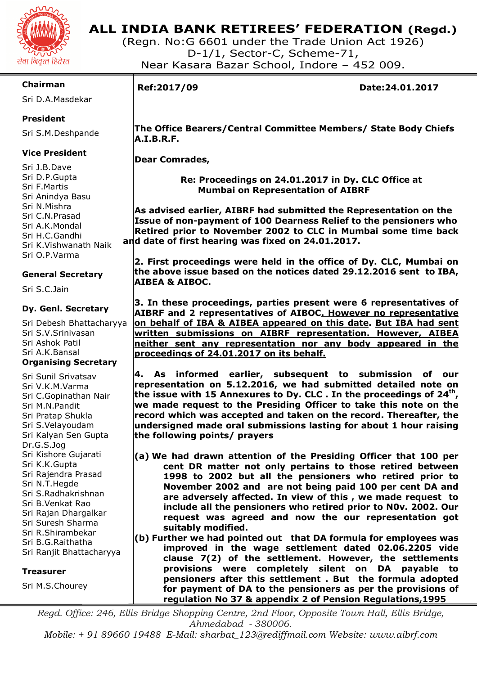

### **ALL INDIA BANK RETIREES' FEDERATION (Regd.)**

(Regn. No:G 6601 under the Trade Union Act 1926) D-1/1, Sector-C, Scheme-71, Near Kasara Bazar School, Indore – 452 009.

### **Chairman**

Sri D.A.Masdekar

### **President**

Sri S.M.Deshpande

### **Vice President**

Sri J.B.Dave Sri D.P.Gupta Sri F.Martis Sri Anindya Basu Sri N.Mishra Sri C.N.Prasad Sri A.K.Mondal Sri H.C.Gandhi Sri K.Vishwanath Naik Sri O.P.Varma

### **General Secretary**

Sri S.C.Jain

### **Dy. Genl. Secretary**

Sri Debesh Bhattacharyya Sri S.V.Srinivasan Sri Ashok Patil Sri A.K.Bansal **Organising Secretary** 

Sri Sunil Srivatsav Sri V.K.M.Varma Sri C.Gopinathan Nair Sri M.N.Pandit Sri Pratap Shukla Sri S.Velayoudam Sri Kalyan Sen Gupta Dr.G.S.Jog Sri Kishore Gujarati Sri K.K.Gupta Sri Rajendra Prasad Sri N.T.Hegde Sri S.Radhakrishnan Sri B.Venkat Rao Sri Rajan Dhargalkar Sri Suresh Sharma Sri R.Shirambekar Sri B.G.Raithatha Sri Ranjit Bhattacharyya

### **Treasurer**

Sri M.S.Chourey

I

**Ref:2017/09 Date:24.01.2017** 

 **The Office Bearers/Central Committee Members/ State Body Chiefs A.I.B.R.F.** 

 **Dear Comrades,** 

 **Re: Proceedings on 24.01.2017 in Dy. CLC Office at Mumbai on Representation of AIBRF** 

 **As advised earlier, AIBRF had submitted the Representation on the Issue of non-payment of 100 Dearness Relief to the pensioners who Retired prior to November 2002 to CLC in Mumbai some time back and date of first hearing was fixed on 24.01.2017.** 

**2. First proceedings were held in the office of Dy. CLC, Mumbai on the above issue based on the notices dated 29.12.2016 sent to IBA, AIBEA & AIBOC.** 

**3. In these proceedings, parties present were 6 representatives of AIBRF and 2 representatives of AIBOC. However no representative on behalf of IBA & AIBEA appeared on this date. But IBA had sent written submissions on AIBRF representation. However, AIBEA neither sent any representation nor any body appeared in the proceedings of 24.01.2017 on its behalf.** 

**4. As informed earlier, subsequent to submission of our representation on 5.12.2016, we had submitted detailed note on the issue with 15 Annexures to Dy. CLC . In the proceedings of 24th , we made request to the Presiding Officer to take this note on the record which was accepted and taken on the record. Thereafter, the undersigned made oral submissions lasting for about 1 hour raising the following points/ prayers** 

- **(a) We had drawn attention of the Presiding Officer that 100 per cent DR matter not only pertains to those retired between 1998 to 2002 but all the pensioners who retired prior to November 2002 and are not being paid 100 per cent DA and are adversely affected. In view of this , we made request to include all the pensioners who retired prior to N0v. 2002. Our request was agreed and now the our representation got suitably modified.**
- **(b) Further we had pointed out that DA formula for employees was improved in the wage settlement dated 02.06.2205 vide clause 7(2) of the settlement. However, the settlements provisions were completely silent on DA payable to pensioners after this settlement . But the formula adopted for payment of DA to the pensioners as per the provisions of regulation No 37 & appendix 2 of Pension Regulations,1995**

*Regd. Office: 246, Ellis Bridge Shopping Centre, 2nd Floor, Opposite Town Hall, Ellis Bridge, Ahmedabad - 380006.* 

*Mobile: + 91 89660 19488 E-Mail: sharbat\_123@rediffmail.com Website: www.aibrf.com*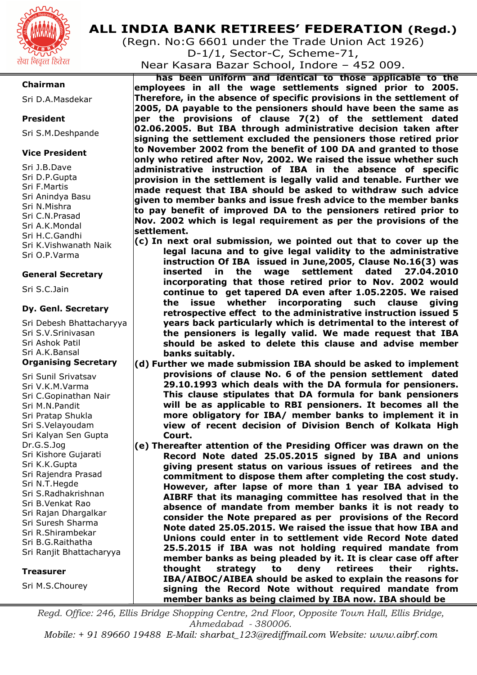

### **Chairman**

Sri D.A.Masdekar

### **President**

Sri S.M.Deshpande

### **Vice President**

Sri J.B.Dave Sri D.P.Gupta Sri F.Martis Sri Anindya Basu Sri N.Mishra Sri C.N.Prasad Sri A.K.Mondal Sri H.C.Gandhi Sri K.Vishwanath Naik Sri O.P.Varma

### **General Secretary**

Sri S.C.Jain

### **Dy. Genl. Secretary**

Sri Debesh Bhattacharyya Sri S.V.Srinivasan Sri Ashok Patil Sri A.K.Bansal **Organising Secretary** 

Sri Sunil Srivatsav Sri V.K.M.Varma Sri C.Gopinathan Nair Sri M.N.Pandit Sri Pratap Shukla Sri S.Velayoudam Sri Kalyan Sen Gupta Dr.G.S.Jog Sri Kishore Gujarati Sri K.K.Gupta Sri Rajendra Prasad Sri N.T.Hegde Sri S.Radhakrishnan Sri B.Venkat Rao Sri Rajan Dhargalkar Sri Suresh Sharma Sri R.Shirambekar Sri B.G.Raithatha Sri Ranjit Bhattacharyya

### **Treasurer**

Sri M.S.Chourey

### **ALL INDIA BANK RETIREES' FEDERATION (Regd.)**

(Regn. No:G 6601 under the Trade Union Act 1926) D-1/1, Sector-C, Scheme-71,

Near Kasara Bazar School, Indore – 452 009.

**has been uniform and identical to those applicable to the employees in all the wage settlements signed prior to 2005. Therefore, in the absence of specific provisions in the settlement of 2005, DA payable to the pensioners should have been the same as per the provisions of clause 7(2) of the settlement dated 02.06.2005. But IBA through administrative decision taken after signing the settlement excluded the pensioners those retired prior to November 2002 from the benefit of 100 DA and granted to those only who retired after Nov, 2002. We raised the issue whether such administrative instruction of IBA in the absence of specific provision in the settlement is legally valid and tenable. Further we made request that IBA should be asked to withdraw such advice given to member banks and issue fresh advice to the member banks to pay benefit of improved DA to the pensioners retired prior to Nov. 2002 which is legal requirement as per the provisions of the settlement.** 

- **(c) In next oral submission, we pointed out that to cover up the legal lacuna and to give legal validity to the administrative instruction Of IBA issued in June,2005, Clause No.16(3) was inserted in the wage settlement dated 27.04.2010 incorporating that those retired prior to Nov. 2002 would continue to get tapered DA even after 1.05.2205. We raised the issue whether incorporating such clause giving retrospective effect to the administrative instruction issued 5 years back particularly which is detrimental to the interest of the pensioners is legally valid. We made request that IBA should be asked to delete this clause and advise member banks suitably.**
- **(d) Further we made submission IBA should be asked to implement provisions of clause No. 6 of the pension settlement dated 29.10.1993 which deals with the DA formula for pensioners. This clause stipulates that DA formula for bank pensioners will be as applicable to RBI pensioners. It becomes all the more obligatory for IBA/ member banks to implement it in view of recent decision of Division Bench of Kolkata High Court.**
- **(e) Thereafter attention of the Presiding Officer was drawn on the Record Note dated 25.05.2015 signed by IBA and unions giving present status on various issues of retirees and the commitment to dispose them after completing the cost study. However, after lapse of more than 1 year IBA advised to AIBRF that its managing committee has resolved that in the absence of mandate from member banks it is not ready to consider the Note prepared as per provisions of the Record Note dated 25.05.2015. We raised the issue that how IBA and Unions could enter in to settlement vide Record Note dated 25.5.2015 if IBA was not holding required mandate from member banks as being pleaded by it. It is clear case off after thought strategy to deny retirees their rights. IBA/AIBOC/AIBEA should be asked to explain the reasons for signing the Record Note without required mandate from member banks as being claimed by IBA now. IBA should be**

*Regd. Office: 246, Ellis Bridge Shopping Centre, 2nd Floor, Opposite Town Hall, Ellis Bridge, Ahmedabad - 380006.* 

*Mobile: + 91 89660 19488 E-Mail: sharbat\_123@rediffmail.com Website: www.aibrf.com*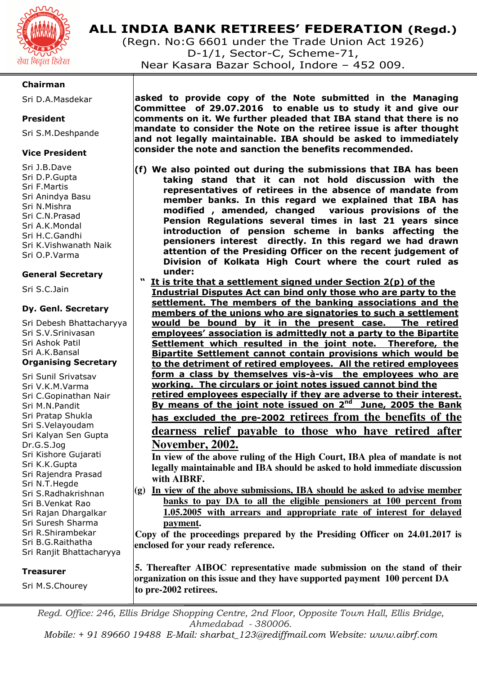

## **ALL INDIA BANK RETIREES' FEDERATION (Regd.)**

(Regn. No:G 6601 under the Trade Union Act 1926) D-1/1, Sector-C, Scheme-71, Near Kasara Bazar School, Indore – 452 009.

### **Chairman**

Sri D.A.Masdekar

### **President**

Sri S.M.Deshpande

### **Vice President**

Sri J.B.Dave Sri D.P.Gupta Sri F.Martis Sri Anindya Basu Sri N.Mishra Sri C.N.Prasad Sri A.K.Mondal Sri H.C.Gandhi Sri K.Vishwanath Naik Sri O.P.Varma

### **General Secretary**

Sri S.C.Jain

### **Dy. Genl. Secretary**

Sri Debesh Bhattacharyya Sri S.V.Srinivasan Sri Ashok Patil Sri A.K.Bansal **Organising Secretary** 

Sri Sunil Srivatsav Sri V.K.M.Varma Sri C.Gopinathan Nair Sri M.N.Pandit Sri Pratap Shukla Sri S.Velayoudam Sri Kalyan Sen Gupta Dr.G.S.Jog Sri Kishore Gujarati Sri K.K.Gupta Sri Rajendra Prasad Sri N.T.Hegde Sri S.Radhakrishnan Sri B.Venkat Rao Sri Rajan Dhargalkar Sri Suresh Sharma Sri R.Shirambekar Sri B.G.Raithatha Sri Ranjit Bhattacharyya

### **Treasurer**

Sri M.S.Chourey

**asked to provide copy of the Note submitted in the Managing Committee of 29.07.2016 to enable us to study it and give our comments on it. We further pleaded that IBA stand that there is no mandate to consider the Note on the retiree issue is after thought and not legally maintainable. IBA should be asked to immediately consider the note and sanction the benefits recommended.** 

- **(f) We also pointed out during the submissions that IBA has been taking stand that it can not hold discussion with the representatives of retirees in the absence of mandate from member banks. In this regard we explained that IBA has modified , amended, changed various provisions of the Pension Regulations several times in last 21 years since introduction of pension scheme in banks affecting the pensioners interest directly. In this regard we had drawn attention of the Presiding Officer on the recent judgement of Division of Kolkata High Court where the court ruled as under:** 
	- **" It is trite that a settlement signed under Section 2(p) of the**

**Industrial Disputes Act can bind only those who are party to the settlement. The members of the banking associations and the members of the unions who are signatories to such a settlement would be bound by it in the present case. The retired employees' association is admittedly not a party to the Bipartite Settlement which resulted in the joint note. Therefore, the Bipartite Settlement cannot contain provisions which would be to the detriment of retired employees. All the retired employees form a class by themselves vis-à-vis the employees who are working. The circulars or joint notes issued cannot bind the retired employees especially if they are adverse to their interest. By means of the joint note issued on 2nd June, 2005 the Bank has excluded the pre-2002 retirees from the benefits of the dearness relief payable to those who have retired after November, 2002.** 

**In view of the above ruling of the High Court, IBA plea of mandate is not legally maintainable and IBA should be asked to hold immediate discussion with AIBRF.** 

**(g) In view of the above submissions, IBA should be asked to advise member banks to pay DA to all the eligible pensioners at 100 percent from 1.05.2005 with arrears and appropriate rate of interest for delayed payment.** 

**Copy of the proceedings prepared by the Presiding Officer on 24.01.2017 is enclosed for your ready reference.** 

**5. Thereafter AIBOC representative made submission on the stand of their organization on this issue and they have supported payment 100 percent DA to pre-2002 retirees.** 

*Regd. Office: 246, Ellis Bridge Shopping Centre, 2nd Floor, Opposite Town Hall, Ellis Bridge, Ahmedabad - 380006.* 

*Mobile: + 91 89660 19488 E-Mail: sharbat\_123@rediffmail.com Website: www.aibrf.com*